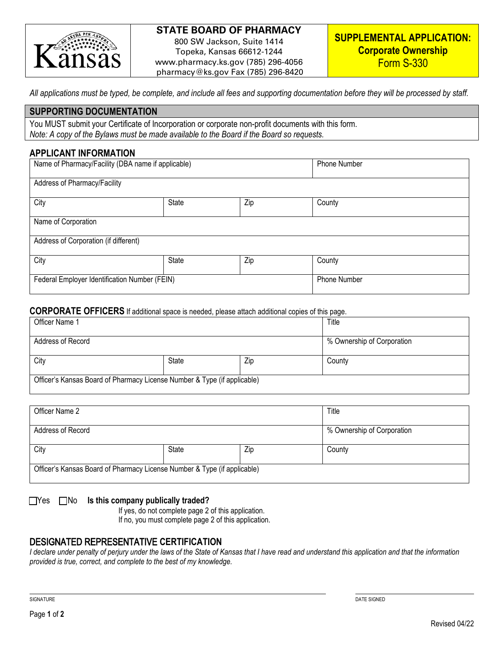

# **STATE BOARD OF PHARMACY**

800 SW Jackson, Suite 1414 Topeka, Kansas 66612-1244 www.pharmacy.ks.gov (785) 296-4056 pharmacy@ks.gov Fax (785) 296-8420

*All applications must be typed, be complete, and include all fees and supporting documentation before they will be processed by staff.* 

#### **SUPPORTING DOCUMENTATION**

You MUST submit your Certificate of Incorporation or corporate non-profit documents with this form. *Note: A copy of the Bylaws must be made available to the Board if the Board so requests.*

## **APPLICANT INFORMATION**

| Name of Pharmacy/Facility (DBA name if applicable) |        |  | Phone Number |  |
|----------------------------------------------------|--------|--|--------------|--|
| Address of Pharmacy/Facility                       |        |  |              |  |
| City                                               | County |  |              |  |
| Name of Corporation                                |        |  |              |  |
| Address of Corporation (if different)              |        |  |              |  |
| City<br>State<br>Zip                               |        |  | County       |  |
| Federal Employer Identification Number (FEIN)      |        |  | Phone Number |  |

#### **CORPORATE OFFICERS** If additional space is needed, please attach additional copies of this page.

| Officer Name 1                                                           |       |     | Title                      |
|--------------------------------------------------------------------------|-------|-----|----------------------------|
| Address of Record                                                        |       |     | % Ownership of Corporation |
| City                                                                     | State | Zip | County                     |
| Officer's Kansas Board of Pharmacy License Number & Type (if applicable) |       |     |                            |

| Officer Name 2                                                           |              |     | Title                      |
|--------------------------------------------------------------------------|--------------|-----|----------------------------|
| Address of Record                                                        |              |     | % Ownership of Corporation |
| City                                                                     | <b>State</b> | Zip | County                     |
| Officer's Kansas Board of Pharmacy License Number & Type (if applicable) |              |     |                            |

### ■ Yes ■ No **Is this company publically traded?**

If yes, do not complete page 2 of this application.

If no, you must complete page 2 of this application.

### DESIGNATED REPRESENTATIVE **CERTIFICATION**

*I declare under penalty of perjury under the laws of the State of Kansas that I have read and understand this application and that the information provided is true, correct, and complete to the best of my knowledge.*